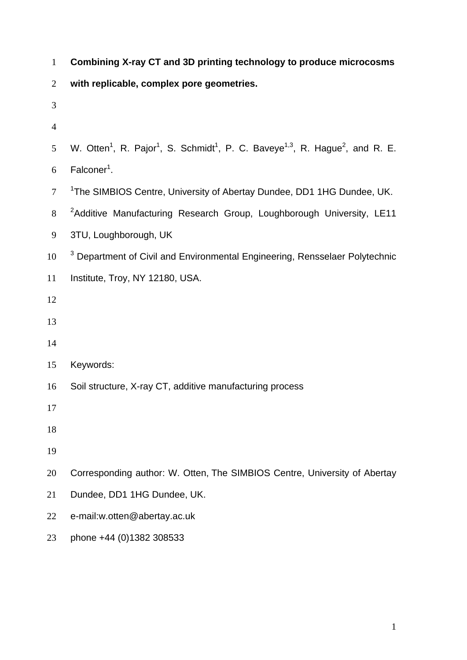| $\mathbf{1}$   | Combining X-ray CT and 3D printing technology to produce microcosms                                                                       |
|----------------|-------------------------------------------------------------------------------------------------------------------------------------------|
| $\mathbf{2}$   | with replicable, complex pore geometries.                                                                                                 |
| 3              |                                                                                                                                           |
| $\overline{4}$ |                                                                                                                                           |
| 5              | W. Otten <sup>1</sup> , R. Pajor <sup>1</sup> , S. Schmidt <sup>1</sup> , P. C. Baveye <sup>1,3</sup> , R. Hague <sup>2</sup> , and R. E. |
| 6              | Falconer <sup>1</sup> .                                                                                                                   |
| $\tau$         | <sup>1</sup> The SIMBIOS Centre, University of Abertay Dundee, DD1 1HG Dundee, UK.                                                        |
| 8              | <sup>2</sup> Additive Manufacturing Research Group, Loughborough University, LE11                                                         |
| 9              | 3TU, Loughborough, UK                                                                                                                     |
| 10             | <sup>3</sup> Department of Civil and Environmental Engineering, Rensselaer Polytechnic                                                    |
| 11             | Institute, Troy, NY 12180, USA.                                                                                                           |
| 12             |                                                                                                                                           |
| 13             |                                                                                                                                           |
| 14             |                                                                                                                                           |
| 15             | Keywords:                                                                                                                                 |
| 16             | Soil structure, X-ray CT, additive manufacturing process                                                                                  |
| 17             |                                                                                                                                           |
| 18             |                                                                                                                                           |
| 19             |                                                                                                                                           |
| 20             | Corresponding author: W. Otten, The SIMBIOS Centre, University of Abertay                                                                 |
| 21             | Dundee, DD1 1HG Dundee, UK.                                                                                                               |
| 22             | e-mail:w.otten@abertay.ac.uk                                                                                                              |
| 23             | phone +44 (0)1382 308533                                                                                                                  |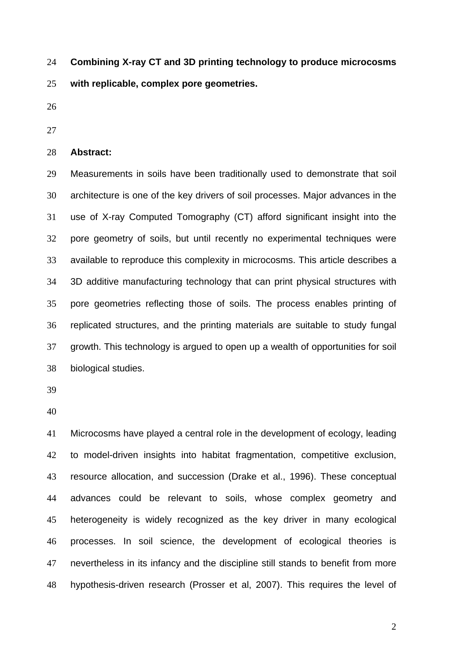**Combining X-ray CT and 3D printing technology to produce microcosms with replicable, complex pore geometries.**  24 25

- 26
- 27

## 28 **Abstract:**

29 30 31 32 33 34 35 36 37 38 Measurements in soils have been traditionally used to demonstrate that soil architecture is one of the key drivers of soil processes. Major advances in the use of X-ray Computed Tomography (CT) afford significant insight into the pore geometry of soils, but until recently no experimental techniques were available to reproduce this complexity in microcosms. This article describes a 3D additive manufacturing technology that can print physical structures with pore geometries reflecting those of soils. The process enables printing of replicated structures, and the printing materials are suitable to study fungal growth. This technology is argued to open up a wealth of opportunities for soil biological studies.

39

40

41 42 43 44 45 46 47 48 Microcosms have played a central role in the development of ecology, leading to model-driven insights into habitat fragmentation, competitive exclusion, resource allocation, and succession (Drake et al., 1996). These conceptual advances could be relevant to soils, whose complex geometry and heterogeneity is widely recognized as the key driver in many ecological processes. In soil science, the development of ecological theories is nevertheless in its infancy and the discipline still stands to benefit from more hypothesis-driven research (Prosser et al, 2007). This requires the level of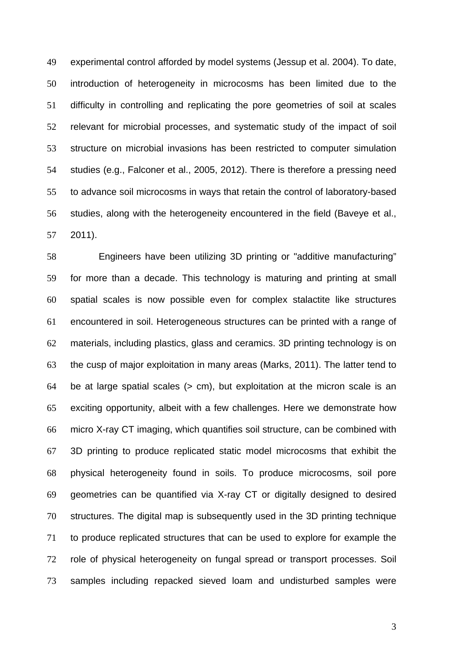49 50 51 52 53 54 55 56 57 experimental control afforded by model systems (Jessup et al. 2004). To date, introduction of heterogeneity in microcosms has been limited due to the difficulty in controlling and replicating the pore geometries of soil at scales relevant for microbial processes, and systematic study of the impact of soil structure on microbial invasions has been restricted to computer simulation studies (e.g., Falconer et al., 2005, 2012). There is therefore a pressing need to advance soil microcosms in ways that retain the control of laboratory-based studies, along with the heterogeneity encountered in the field (Baveye et al., 2011).

58 59 60 61 62 63 64 65 66 67 68 69 70 71 72 73 Engineers have been utilizing 3D printing or "additive manufacturing" for more than a decade. This technology is maturing and printing at small spatial scales is now possible even for complex stalactite like structures encountered in soil. Heterogeneous structures can be printed with a range of materials, including plastics, glass and ceramics. 3D printing technology is on the cusp of major exploitation in many areas (Marks, 2011). The latter tend to be at large spatial scales (> cm), but exploitation at the micron scale is an exciting opportunity, albeit with a few challenges. Here we demonstrate how micro X-ray CT imaging, which quantifies soil structure, can be combined with 3D printing to produce replicated static model microcosms that exhibit the physical heterogeneity found in soils. To produce microcosms, soil pore geometries can be quantified via X-ray CT or digitally designed to desired structures. The digital map is subsequently used in the 3D printing technique to produce replicated structures that can be used to explore for example the role of physical heterogeneity on fungal spread or transport processes. Soil samples including repacked sieved loam and undisturbed samples were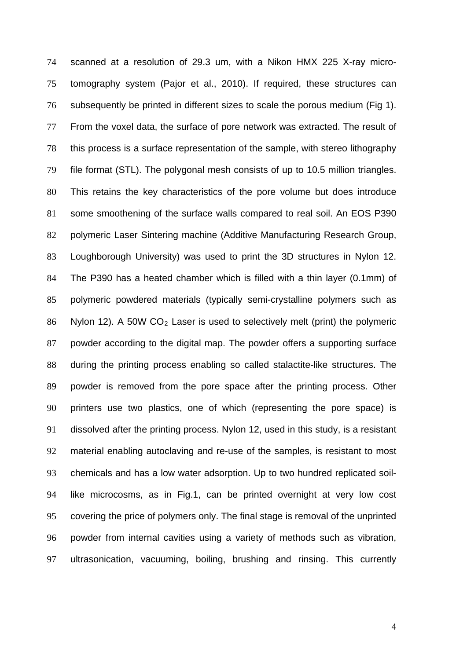scanned at a resolution of 29.3 um, with a Nikon HMX 225 X-ray microtomography system (Pajor et al., 2010). If required, these structures can subsequently be printed in different sizes to scale the porous medium (Fig 1). From the voxel data, the surface of pore network was extracted. The result of this process is a surface representation of the sample, with stereo lithography file format (STL). The polygonal mesh consists of up to 10.5 million triangles. This retains the key characteristics of the pore volume but does introduce some smoothening of the surface walls compared to real soil. An EOS P390 polymeric Laser Sintering machine (Additive Manufacturing Research Group, Loughborough University) was used to print the 3D structures in Nylon 12. The P390 has a heated chamber which is filled with a thin layer (0.1mm) of polymeric powdered materials (typically semi-crystalline polymers such as Nylon 12). A 50W  $CO<sub>2</sub>$  Laser is used to selectively melt (print) the polymeric 74 75 76 77 78 79 80 81 82 83 84 85 86 87 88 89 90 91 92 93 94 95 96 97 powder according to the digital map. The powder offers a supporting surface during the printing process enabling so called stalactite-like structures. The powder is removed from the pore space after the printing process. Other printers use two plastics, one of which (representing the pore space) is dissolved after the printing process. Nylon 12, used in this study, is a resistant material enabling autoclaving and re-use of the samples, is resistant to most chemicals and has a low water adsorption. Up to two hundred replicated soillike microcosms, as in Fig.1, can be printed overnight at very low cost covering the price of polymers only. The final stage is removal of the unprinted powder from internal cavities using a variety of methods such as vibration, ultrasonication, vacuuming, boiling, brushing and rinsing. This currently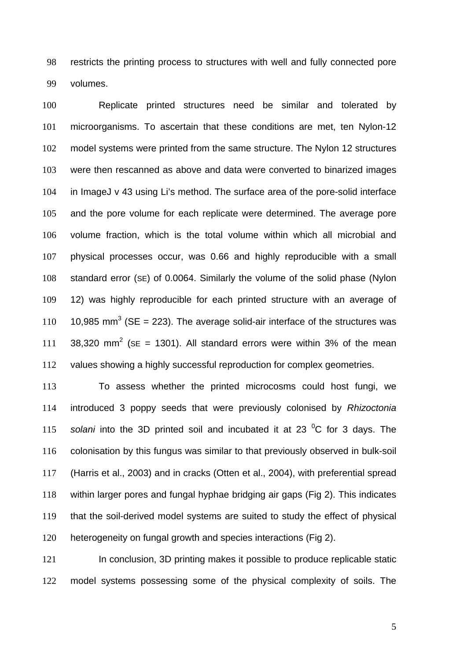98 99 restricts the printing process to structures with well and fully connected pore volumes.

100 101 102 103 104 105 106 107 108 109 110 111 112 Replicate printed structures need be similar and tolerated by microorganisms. To ascertain that these conditions are met, ten Nylon-12 model systems were printed from the same structure. The Nylon 12 structures were then rescanned as above and data were converted to binarized images in ImageJ v 43 using Li's method. The surface area of the pore-solid interface and the pore volume for each replicate were determined. The average pore volume fraction, which is the total volume within which all microbial and physical processes occur, was 0.66 and highly reproducible with a small standard error (SE) of 0.0064. Similarly the volume of the solid phase (Nylon 12) was highly reproducible for each printed structure with an average of 10,985 mm<sup>3</sup> (SE = 223). The average solid-air interface of the structures was 38,320 mm<sup>2</sup> (SE = 1301). All standard errors were within 3% of the mean values showing a highly successful reproduction for complex geometries.

113 114 115 116 117 118 119 120 To assess whether the printed microcosms could host fungi, we introduced 3 poppy seeds that were previously colonised by *Rhizoctonia*  solani into the 3D printed soil and incubated it at 23 <sup>o</sup>C for 3 days. The colonisation by this fungus was similar to that previously observed in bulk-soil (Harris et al., 2003) and in cracks (Otten et al., 2004), with preferential spread within larger pores and fungal hyphae bridging air gaps (Fig 2). This indicates that the soil-derived model systems are suited to study the effect of physical heterogeneity on fungal growth and species interactions (Fig 2).

121 122 In conclusion, 3D printing makes it possible to produce replicable static model systems possessing some of the physical complexity of soils. The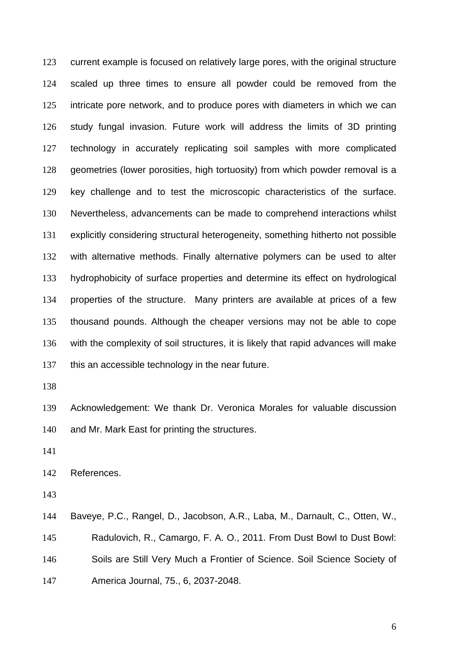123 124 125 126 127 128 129 130 131 132 133 134 135 136 137 current example is focused on relatively large pores, with the original structure scaled up three times to ensure all powder could be removed from the intricate pore network, and to produce pores with diameters in which we can study fungal invasion. Future work will address the limits of 3D printing technology in accurately replicating soil samples with more complicated geometries (lower porosities, high tortuosity) from which powder removal is a key challenge and to test the microscopic characteristics of the surface. Nevertheless, advancements can be made to comprehend interactions whilst explicitly considering structural heterogeneity, something hitherto not possible with alternative methods. Finally alternative polymers can be used to alter hydrophobicity of surface properties and determine its effect on hydrological properties of the structure. Many printers are available at prices of a few thousand pounds. Although the cheaper versions may not be able to cope with the complexity of soil structures, it is likely that rapid advances will make this an accessible technology in the near future.

138

139 140 Acknowledgement: We thank Dr. Veronica Morales for valuable discussion and Mr. Mark East for printing the structures.

141

142 References.

143

144 145 146 147 Baveye, P.C., Rangel, D., Jacobson, A.R., Laba, M., Darnault, C., Otten, W., Radulovich, R., Camargo, F. A. O., 2011. From Dust Bowl to Dust Bowl: Soils are Still Very Much a Frontier of Science. Soil Science Society of America Journal, 75., 6, 2037-2048.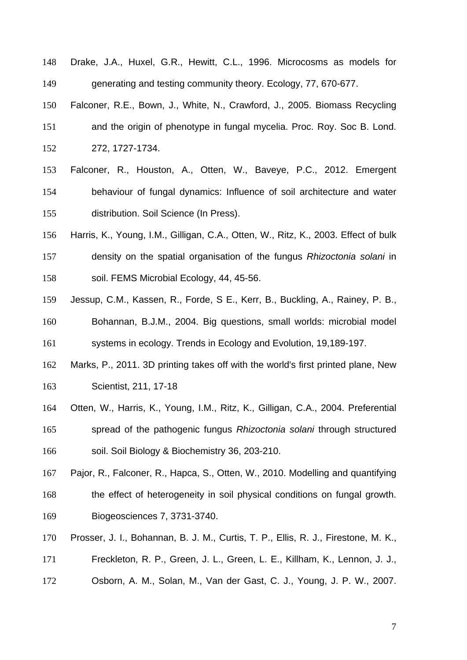- 148 149 Drake, J.A., Huxel, G.R., Hewitt, C.L., 1996. Microcosms as models for generating and testing community theory. Ecology, 77, 670-677.
- 150 151 152 Falconer, R.E., Bown, J., White, N., Crawford, J., 2005. Biomass Recycling and the origin of phenotype in fungal mycelia. Proc. Roy. Soc B. Lond. 272, 1727-1734.
- 153 154 155 Falconer, R., Houston, A., Otten, W., Baveye, P.C., 2012. Emergent behaviour of fungal dynamics: Influence of soil architecture and water distribution. Soil Science (In Press).
- 156 157 158 Harris, K., Young, I.M., Gilligan, C.A., Otten, W., Ritz, K., 2003. Effect of bulk density on the spatial organisation of the fungus *Rhizoctonia solani* in soil. FEMS Microbial Ecology, 44, 45-56.
- 159 160 161 Jessup, C.M., Kassen, R., Forde, S E., Kerr, B., Buckling, A., Rainey, P. B., Bohannan, B.J.M., 2004. Big questions, small worlds: microbial model systems in ecology. Trends in Ecology and Evolution, 19,189-197.
- 162 163 Marks, P., 2011. 3D printing takes off with the world's first printed plane, New Scientist, 211, 17-18
- 164 165 166 Otten, W., Harris, K., Young, I.M., Ritz, K., Gilligan, C.A., 2004. Preferential spread of the pathogenic fungus *Rhizoctonia solani* through structured soil. Soil Biology & Biochemistry 36, 203-210.
- 167 168 169 Pajor, R., Falconer, R., Hapca, S., Otten, W., 2010. Modelling and quantifying the effect of heterogeneity in soil physical conditions on fungal growth. Biogeosciences 7, 3731-3740.
- 170 Prosser, J. I., Bohannan, B. J. M., Curtis, T. P., Ellis, R. J., Firestone, M. K.,
- 171 Freckleton, R. P., Green, J. L., Green, L. E., Killham, K., Lennon, J. J.,
- 172 Osborn, A. M., Solan, M., Van der Gast, C. J., Young, J. P. W., 2007.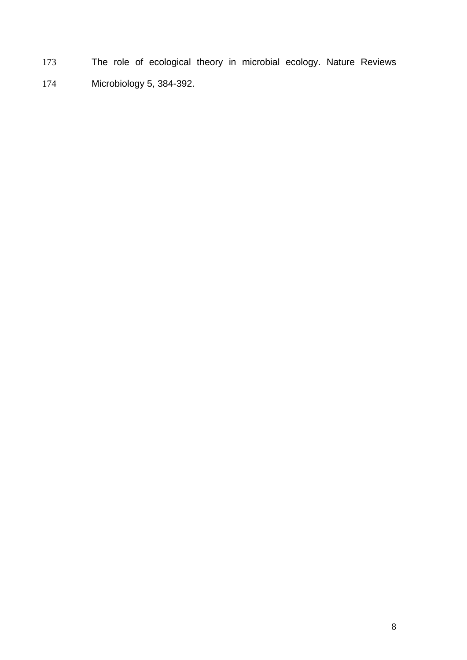173 174 The role of ecological theory in microbial ecology. Nature Reviews Microbiology 5, 384-392.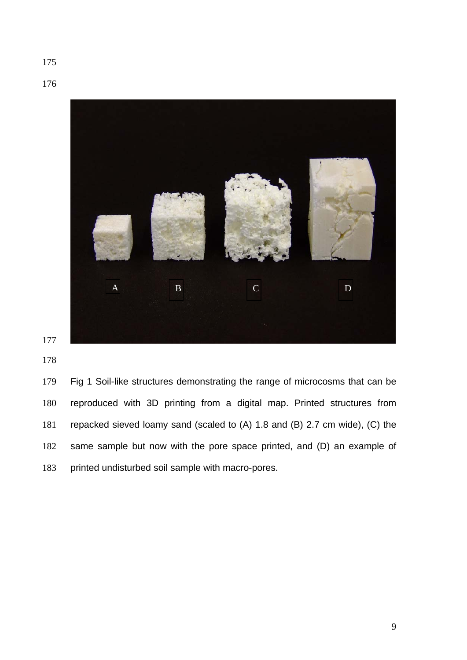

 Fig 1 Soil-like structures demonstrating the range of microcosms that can be reproduced with 3D printing from a digital map. Printed structures from repacked sieved loamy sand (scaled to (A) 1.8 and (B) 2.7 cm wide), (C) the same sample but now with the pore space printed, and (D) an example of printed undisturbed soil sample with macro-pores.